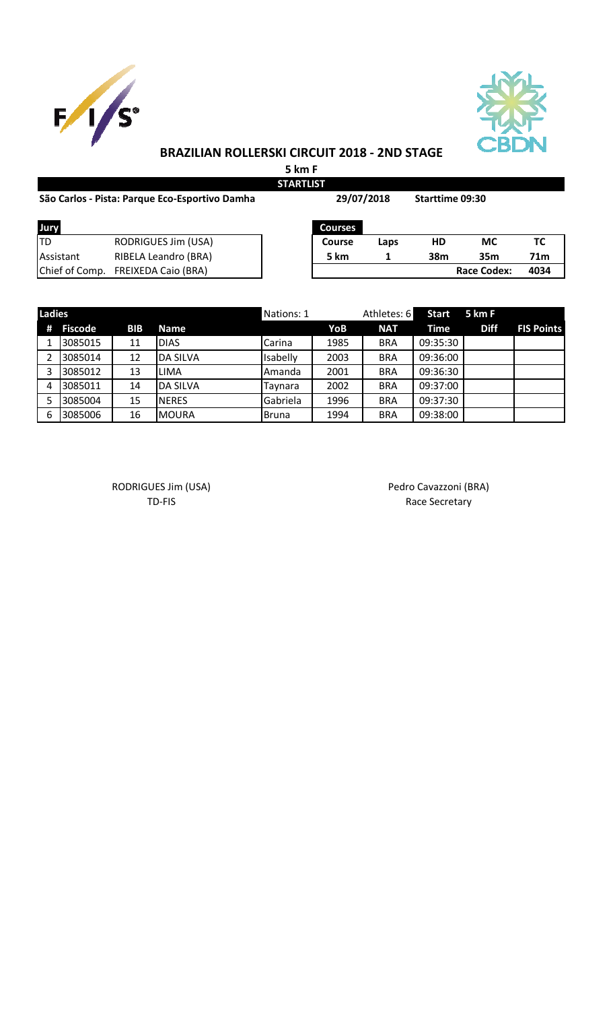



## **BRAZILIAN ROLLERSKI CIRCUIT 2018 - 2ND STAGE**

**5 km F STARTLIST**

| São Carlos - Pista: Parque Eco-Esportivo Damha |                            |  | 29/07/2018     |      | <b>Starttime 09:30</b> |                    |                 |
|------------------------------------------------|----------------------------|--|----------------|------|------------------------|--------------------|-----------------|
| Jury                                           |                            |  | <b>Courses</b> |      |                        |                    |                 |
| ltd                                            | RODRIGUES Jim (USA)        |  | <b>Course</b>  | Laps | HD                     | <b>MC</b>          | ТC              |
| Assistant                                      | RIBELA Leandro (BRA)       |  | 5 km           | 1    | 38m                    | 35 <sub>m</sub>    | 71 <sub>m</sub> |
| Chief of Comp.                                 | <b>FREIXEDA Caio (BRA)</b> |  |                |      |                        | <b>Race Codex:</b> | 4034            |

| <b>Ladies</b> |         |            |                 | Nations: 1    |      | Athletes: 6 | <b>Start</b> | 5 km F      |                   |
|---------------|---------|------------|-----------------|---------------|------|-------------|--------------|-------------|-------------------|
| #             | Fiscode | <b>BIB</b> | <b>Name</b>     |               | YoB  | <b>NAT</b>  | Time         | <b>Diff</b> | <b>FIS Points</b> |
|               | 3085015 | 11         | <b>DIAS</b>     | Carina        | 1985 | <b>BRA</b>  | 09:35:30     |             |                   |
|               | 3085014 | 12         | <b>DA SILVA</b> | Isabelly      | 2003 | <b>BRA</b>  | 09:36:00     |             |                   |
| э             | 3085012 | 13         | <b>LIMA</b>     | <b>Amanda</b> | 2001 | <b>BRA</b>  | 09:36:30     |             |                   |
| 4             | 3085011 | 14         | <b>DA SILVA</b> | Taynara       | 2002 | <b>BRA</b>  | 09:37:00     |             |                   |
|               | 3085004 | 15         | <b>NERES</b>    | Gabriela      | 1996 | <b>BRA</b>  | 09:37:30     |             |                   |
| -6            | 3085006 | 16         | <b>MOURA</b>    | <b>Bruna</b>  | 1994 | <b>BRA</b>  | 09:38:00     |             |                   |

RODRIGUES Jim (USA) and a control of the Pedro Cavazzoni (BRA)

TD-FIS Race Secretary